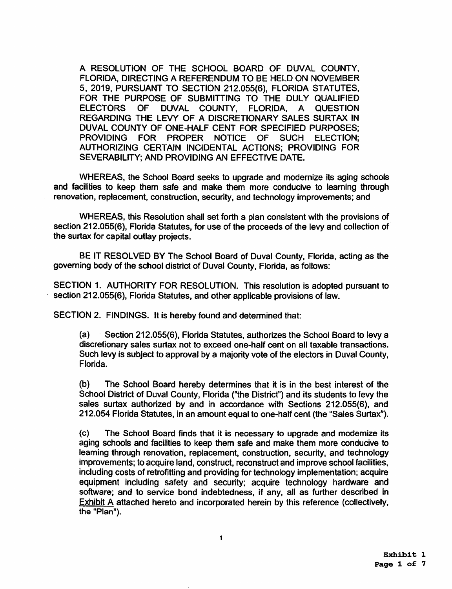A RESOLUTION OF THE SCHOOL BOARD OF DUVAL COUNTY. FLORIDA, DIRECTING A REFERENDUM TO BE HELD ON NOVEMBER 5, 2019, PURSUANT TO SECTION 212.055(6), FLORIDA STATUTES, FOR THE PURPOSE OF SUBMITTING TO THE DULY QUALIFIED ELECTORS OF DUVAL COUNTY, FLORIDA, A QUESTION REGARDING THE LEVY OF A DISCRETIONARY SALES SURTAX IN DUVAL COUNTY OF ONE-HALF CENT FOR SPECIFIED PURPOSES;<br>PROVIDING FOR PROPER NOTICE OF SUCH ELECTION: PROVIDING FOR PROPER NOTICE OF SUCH AUTHORIZING CERTAIN INCIDENTAL ACTIONS; PROVIDING FOR SEVERABILITY: AND PROVIDING AN EFFECTIVE DATE.

WHEREAS, the School Board seeks to upgrade and modernize its aging schools and facilities to keep them safe and make them more conducive to learning through renovation, replacement, construction, security, and technology improvements; and

WHEREAS, this Resolution shall set forth a plan consistent with the provisions of section 212.055(6), Florida Statutes, for use of the proceeds of the levy and collection of the surtax for capital outlay projects.

BE IT RESOLVED BY The School Board of Duval County, Florida, acting as the governing body of the school district of Duval County, Florida, as follows:

SECTION 1. AUTHORITY FOR RESOLUTION. This resolution is adopted pursuant to section 212.055(6), Florida Statutes, and other applicable provisions of law.

SECTION 2. FINDINGS. It is hereby found and determined that:

(a) Section 212.055(6), Florida Statutes, authorizes the School Board to levy a discretionary sales surtax not to exceed one-half cent on all taxable transactions. Such levy is subject to approval by a majority vote of the electors in Duval County, Florida.

(b) The School Board hereby determines that it is in the best interest of the School District of Duval County, Florida ("the District") and its students to levy the sales surtax authorized by and in accordance with Sections 212.055(6), and 212.054 Florida Statutes, in an amount equal to one-half cent (the "Sales Surtax").

(c) The School Board finds that it is necessary to upgrade and modernize its aging schools and facilities to keep them safe and make them more conducive to learning through renovation, replacement, construction, security, and technology improvements: to acquire land, construct, reconstruct and improve school facilities, including costs of retrofitting and providing for technology implementation: acquire equipment including safety and security: acquire technology hardware and software; and to service bond indebtedness, if any, all as further described in Exhibit A attached hereto and incorporated herein by this reference (collectively, the "Plan").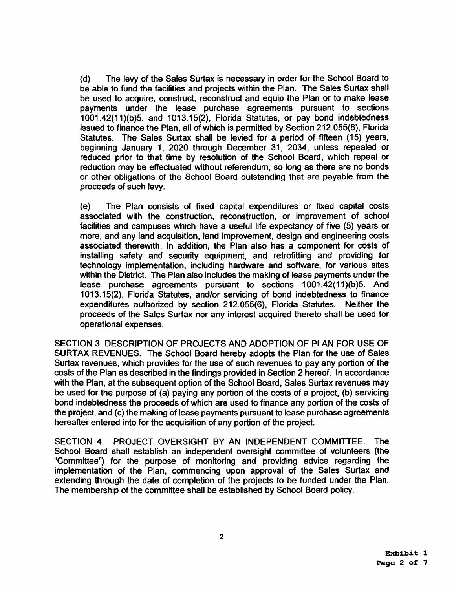{d) The levy of the Sales Surtax is necessary in order for the School Board to be able to fund the facilities and projects within the Plan. The Sales Surtax shall be used to acquire, construct, reconstruct and equip the Plan or to make lease payments under the lease purchase agreements pursuant to sections 1001.42(11 )(b)5. and 1013.15(2), Florida Statutes, or pay bond indebtedness issued to finance the Plan, all of which is permitted by Section 212.055(6), Florida Statutes. The Sales Surtax shall be levied for a period of fifteen (15) years, beginning January 1, 2020 through December 31, 2034, unless repealed or reduced prior to that time by resolution of the School Board, which repeal or reduction may be effectuated without referendum, so long as there are no bonds or other obligations of the School Board outstanding that are payable from the proceeds of such levy.

(e) The Plan consists of fixed capital expenditures or fixed capital costs associated with the construction, reconstruction, or improvement of school facilities and campuses which have a useful life expectancy of five (5) years or more, and any land acquisition, land improvement, design and engineering costs associated therewith. In addition, the Plan also has a component for costs of installing safety and security equipment, and retrofitting and providing for technology implementation, including hardware and software, for various sites within the District. The Plan also includes the making of lease payments under the lease purchase agreements pursuant to sections 1001.42(11}(b)5. And 1013.15(2), Florida Statutes, and/or servicing of bond indebtedness to finance expenditures authorized by section 212.055(6), Florida Statutes. Neither the proceeds of the Sales Surtax nor any interest acquired thereto shall be used for operational expenses.·

SECTION 3. DESCRIPTION OF PROJECTS AND ADOPTION OF PLAN FOR USE OF SURTAX REVENUES. The School Board hereby adopts the Plan for the use of Sales Surtax revenues, which provides for the use of such revenues to pay any portion of the costs of the Plan as described in the findings provided in Section 2 hereof. In accordance with the Plan, at the subsequent option of the School Board, Sales Surtax revenues may be used for the purpose of (a) paying any portion of the costs of a project, {b) servicing bond indebtedness the proceeds of which are used to finance any portion of the costs of the project, and (c) the making of lease payments pursuant to lease purchase agreements hereafter entered into for the acquisition of any portion of the project.

SECTION 4. PROJECT OVERSIGHT BY AN INDEPENDENT COMMITTEE. The School Board shall establish an independent oversight committee of volunteers (the "Committee") for the purpose of monitoring and providing advice regarding the implementation of the Plan, commencing upon approval of the Sales Surtax and extending through the date of completion of the projects to be funded under the Plan. The membership of the committee shall be established by School Board policy.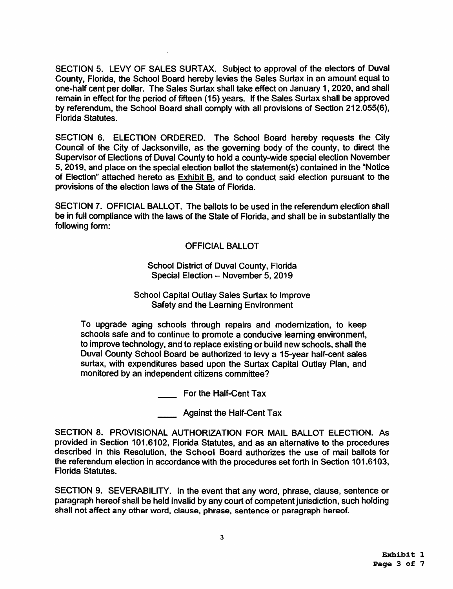SECTION 5. LEVY OF SALES SURTAX. Subject to approval of the electors of Duval County, Florida, the School Board hereby levies the Sales Surtax in an amount equal to one-half cent per dollar. The Sales Surtax shall take effect on January 1, 2020, and shall remain in effect for the period of fifteen (15) years. If the Sales Surtax shall be approved by referendum, the School Board shall comply with all provisions of Section 212.055(6), Florida Statutes.

SECTION 6. ELECTION ORDERED. The School Board hereby requests the City Council of the City of Jacksonville, as the governing body of the county, to direct the Supervisor of Elections of Duval County to hold a county-wide special election November 5, 2019, and place on the special election ballot the statement(s) contained in the "Notice of Election" attached hereto as Exhibit B, and to conduct said election pursuant to the provisions of the election laws of the State of Florida.

SECTION 7. OFFICIAL BALLOT. The ballots to be used in the referendum election shall be in full compliance with the laws of the State of Florida, and shall be in substantially the following form:

# OFFICIAL BALLOT

#### School District of Duval County, Florida Special Election - November 5, 2019

#### School Capital Outlay Sales Surtax to Improve Safety and the Learning Environment

To upgrade aging schools through repairs and modernization, to keep schools safe and to continue to promote a conducive learning environment, to improve technology, and to replace existing or build new schools, shall the Duval County School Board be authorized to levy a 15-year half-cent sales surtax, with expenditures based upon the Surtax Capital Outlay Plan, and monitored by an independent citizens committee?

For the Half-Cent Tax

Against the Half-Cent Tax

SECTION 8. PROVISIONAL AUTHORIZATION FOR MAIL BALLOT ELECTION. As provided in Section 101.6102, Florida Statutes, and as an alternative to the procedures described in this Resolution, the School Board authorizes the use of mail ballots for the referendum election in accordance with the procedures set forth in Section 101.6103, Florida Statutes.

SECTION 9. SEVERABILITY. In the event that any word, phrase, clause, sentence or paragraph hereof shall be held invalid by any court of competent jurisdiction, such holding shall not affect any other word, clause, phrase, sentence or paragraph hereof.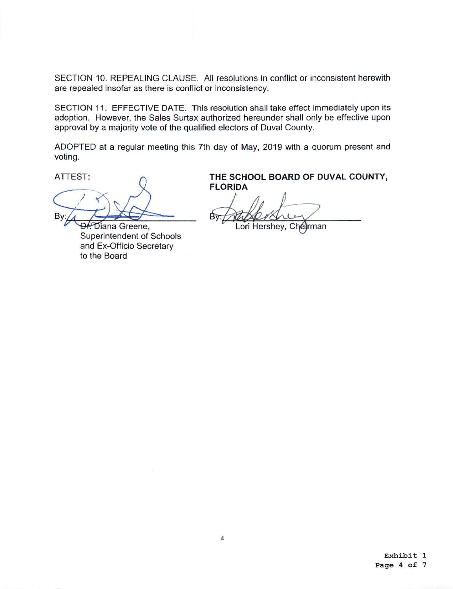SECTION 10. REPEALING CLAUSE. All resolutions in conflict or inconsistent herewith are repealed insofar as there is conflict or inconsistency.

SECTION 11. EFFECTIVE DATE. This resolution shall take effect immediately upon its adoption. However, the Sales Surtax authorized hereunder shall only be effective upon approval by a majority vote of the qualified electors of Duval County.

ADOPTED at a regular meeting this 7th day of May, 2019 with a quorum present and voting.

B١

Diana Greene, Superintendent of Schools and Ex-Officio Secretary to the Board

ATTEST: A **THE SCHOOL BOARD OF DUVAL COUNTY, FLORIDA** 

Bv.

Lori Hershey, Chelrman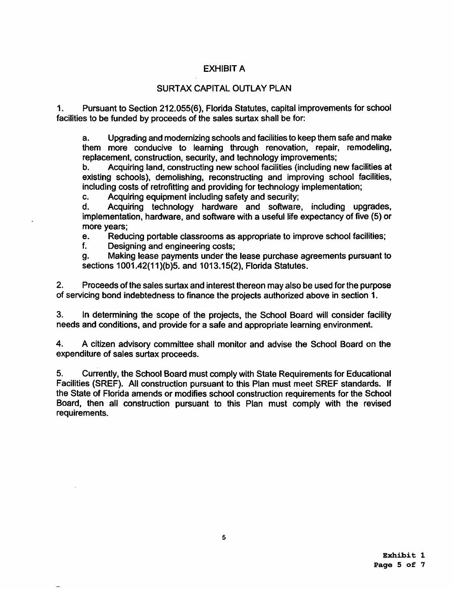# EXHIBIT A

# SURTAX CAPITAL OUTLAY PLAN

1. Pursuant to Section 212.055(6), Florida Statutes, capital improvements for school facilities to be funded by proceeds of the sales surtax shall be for:

a. Upgrading and modernizing schools and facilities to keep them safe and make them more conducive to learning through renovation, repair, remodeling, replacement. construction, security, and technology improvements;

b. Acquiring land, constructing new school facilities (including new facilities at existing schools), demolishing, reconstructing and improving school facilities, including costs of retrofitting and providing for technology implementation;

c. Acquiring equipment including safety and security;

d. Acquiring technology hardware and software, including upgrades, implementation, hardware, and software with a useful life expectancy of five (5) or more years;

e. Reducing portable classrooms as appropriate to improve school facilities;<br>f. Designing and engineering costs:

Designing and engineering costs;

g. Making lease payments under the lease purchase agreements pursuant to sections 1001.42(11)(b)5. and 1013.15(2), Florida Statutes.

2. Proceeds ofthe sales surtax and interest thereon may also be used for the purpose of servicing bond indebtedness to finance the projects authorized above in section 1.

3. In determining the scope of the projects, the School Board will consider facility needs and conditions, and provide for a safe and appropriate learning environment.

4. A citizen advisory committee shall monitor and advise the School Board on the expenditure of sales surtax proceeds.

5. Currently, the School Board must comply with State Requirements for Educational Facilities (SREF). All construction pursuant to this Plan must meet SREF standards. If the State of Florida amends or modifies school construction requirements for the School Board, then all construction pursuant to this Plan must comply with the revised requirements.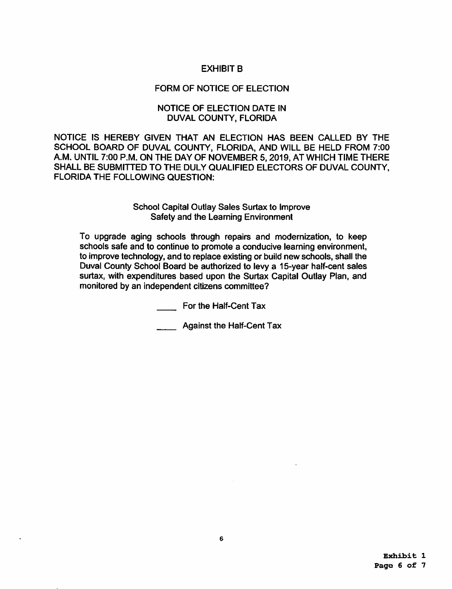# EXHIBIT B

# FORM OF NOTICE OF ELECTION

# NOTICE OF ELECTION DATE IN DUVAL COUNTY, FLORIDA

NOTICE IS HEREBY GIVEN THAT AN ELECTION HAS BEEN CALLED BY THE SCHOOL BOARD OF DUVAL COUNTY, FLORIDA, AND WILL BE HELD FROM 7:00 A.M. UNTIL 7:00 P.M. ON THE DAY OF NOVEMBER 5, 2019, AT WHICH TIME THERE SHALL BE SUBMITTED TO THE DULY QUALIFIED ELECTORS OF DUVAL COUNTY, FLORIDA THE FOLLOWING QUESTION:

#### School Capital Outlay Sales Surtax to Improve Safety and the Leaming Environment

To upgrade aging schools through repairs and modernization, to keep schools safe and to continue to promote a conducive learning environment, to improve technology, and to replace existing or build new schools, shall the Duval County School Board be authorized to levy a 15-year half-cent sales surtax, with expenditures based upon the Surtax Capital Outlay Plan, and monitored by an independent citizens committee?

For the Half-Cent Tax

Against the Half-Cent Tax